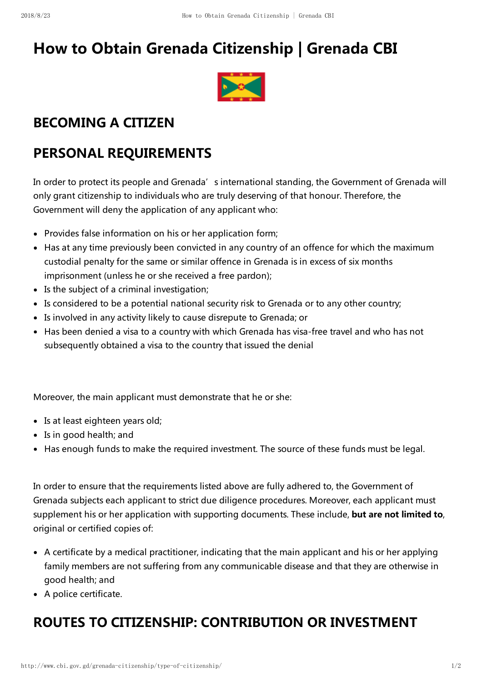# How to Obtain Grenada Citizenship | Grenada CBI



### BECOMING A CITIZEN

### PERSONAL REQUIREMENTS

In order to protect its people and Grenada's international standing, the Government of Grenada will only grant citizenship to individuals who are truly deserving of that honour. Therefore, the Government will deny the application of any applicant who:

- Provides false information on his or her application form;
- Has at any time previously been convicted in any country of an offence for which the maximum custodial penalty for the same or similar offence in Grenada is in excess of six months imprisonment (unless he or she received a free pardon);
- Is the subject of a criminal investigation;
- Is considered to be a potential national security risk to Grenada or to any other country;
- Is involved in any activity likely to cause disrepute to Grenada; or
- Has been denied a visa to a country with which Grenada has visa-free travel and who has not subsequently obtained a visa to the country that issued the denial

Moreover, the main applicant must demonstrate that he or she:

- Is at least eighteen years old;
- Is in good health; and
- Has enough funds to make the required investment. The source of these funds must be legal.

In order to ensure that the requirements listed above are fully adhered to, the Government of Grenada subjects each applicant to strict due diligence procedures. Moreover, each applicant must supplement his or her application with supporting documents. These include, but are not limited to, original or certified copies of:

- A certificate by a medical practitioner, indicating that the main applicant and his or her applying family members are not suffering from any communicable disease and that they are otherwise in good health; and
- A police certificate.

## ROUTES TO CITIZENSHIP: CONTRIBUTION OR INVESTMENT